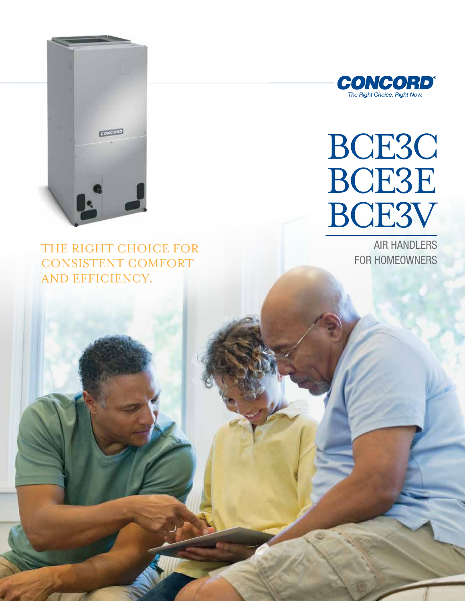

THE RIGHT CHOICE FOR **CONSISTENT COMFORT** AND EFFICIENCY.



# BCE3C BCE3E BCE3V

**AIR HANDLERS FOR HOMEOWNERS**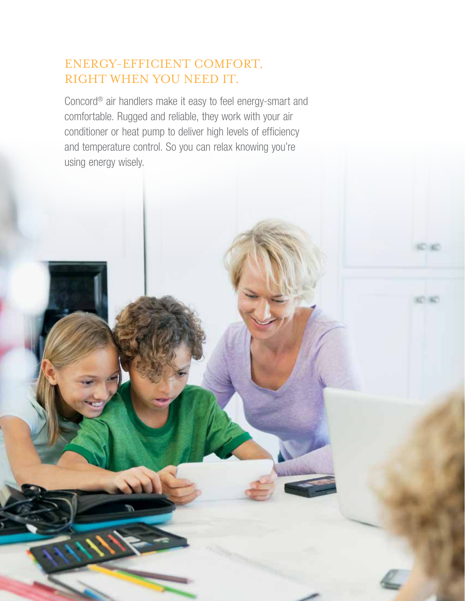# ENERGY-EFFICIENT COMFORT, RIGHT WHEN YOU NEED IT.

Concord® air handlers make it easy to feel energy-smart and comfortable. Rugged and reliable, they work with your air conditioner or heat pump to deliver high levels of efficiency and temperature control. So you can relax knowing you're using energy wisely.

**KO AD**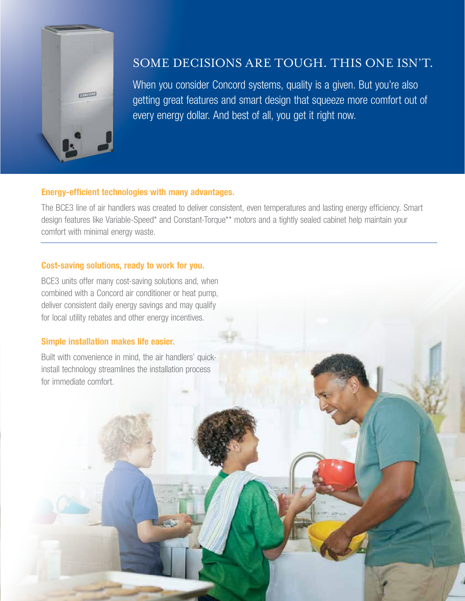

# Some decisions are tough. This one isn't.

When you consider Concord systems, quality is a given. But you're also getting great features and smart design that squeeze more comfort out of every energy dollar. And best of all, you get it right now.

#### Energy-efficient technologies with many advantages.

The BCE3 line of air handlers was created to deliver consistent, even temperatures and lasting energy efficiency. Smart design features like Variable-Speed\* and Constant-Torque\*\* motors and a tightly sealed cabinet help maintain your comfort with minimal energy waste.

### Cost-saving solutions, ready to work for you.

BCE3 units offer many cost-saving solutions and, when combined with a Concord air conditioner or heat pump, deliver consistent daily energy savings and may qualify for local utility rebates and other energy incentives.

## Simple installation makes life easier.

Built with convenience in mind, the air handlers' quickinstall technology streamlines the installation process for immediate comfort.